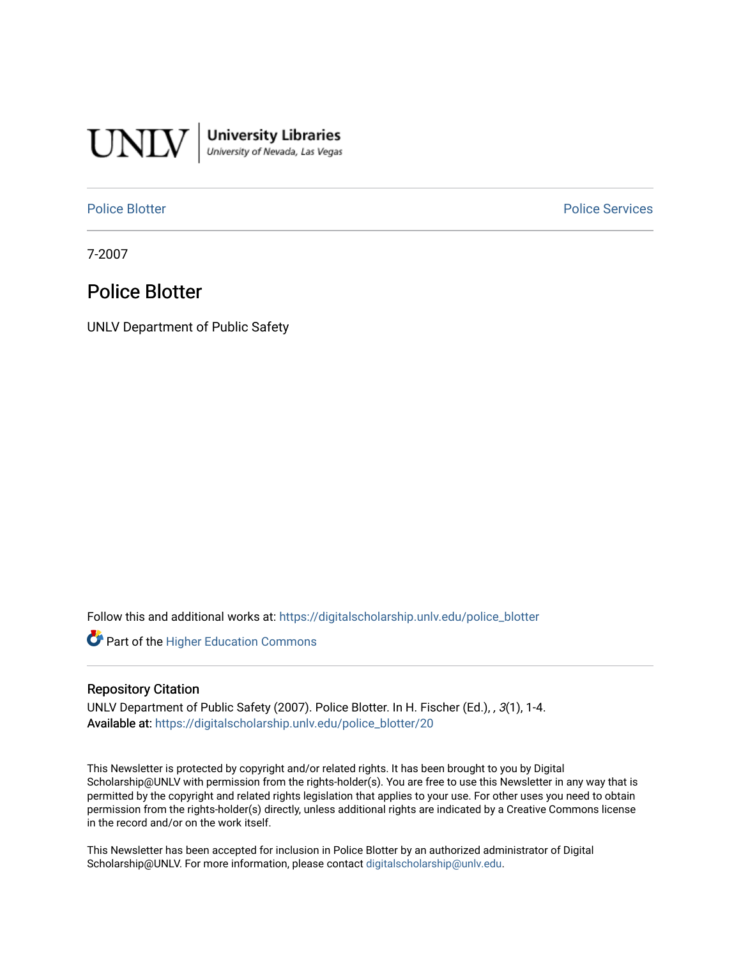

**University Libraries**<br>University of Nevada, Las Vegas

[Police Blotter](https://digitalscholarship.unlv.edu/police_blotter) **Police Services Police Services** 

7-2007

## Police Blotter

UNLV Department of Public Safety

Follow this and additional works at: [https://digitalscholarship.unlv.edu/police\\_blotter](https://digitalscholarship.unlv.edu/police_blotter?utm_source=digitalscholarship.unlv.edu%2Fpolice_blotter%2F20&utm_medium=PDF&utm_campaign=PDFCoverPages) 

**Part of the Higher Education Commons** 

#### Repository Citation

UNLV Department of Public Safety (2007). Police Blotter. In H. Fischer (Ed.), , 3(1), 1-4. Available at: [https://digitalscholarship.unlv.edu/police\\_blotter/20](https://digitalscholarship.unlv.edu/police_blotter/20)

This Newsletter is protected by copyright and/or related rights. It has been brought to you by Digital Scholarship@UNLV with permission from the rights-holder(s). You are free to use this Newsletter in any way that is permitted by the copyright and related rights legislation that applies to your use. For other uses you need to obtain permission from the rights-holder(s) directly, unless additional rights are indicated by a Creative Commons license in the record and/or on the work itself.

This Newsletter has been accepted for inclusion in Police Blotter by an authorized administrator of Digital Scholarship@UNLV. For more information, please contact [digitalscholarship@unlv.edu.](mailto:digitalscholarship@unlv.edu)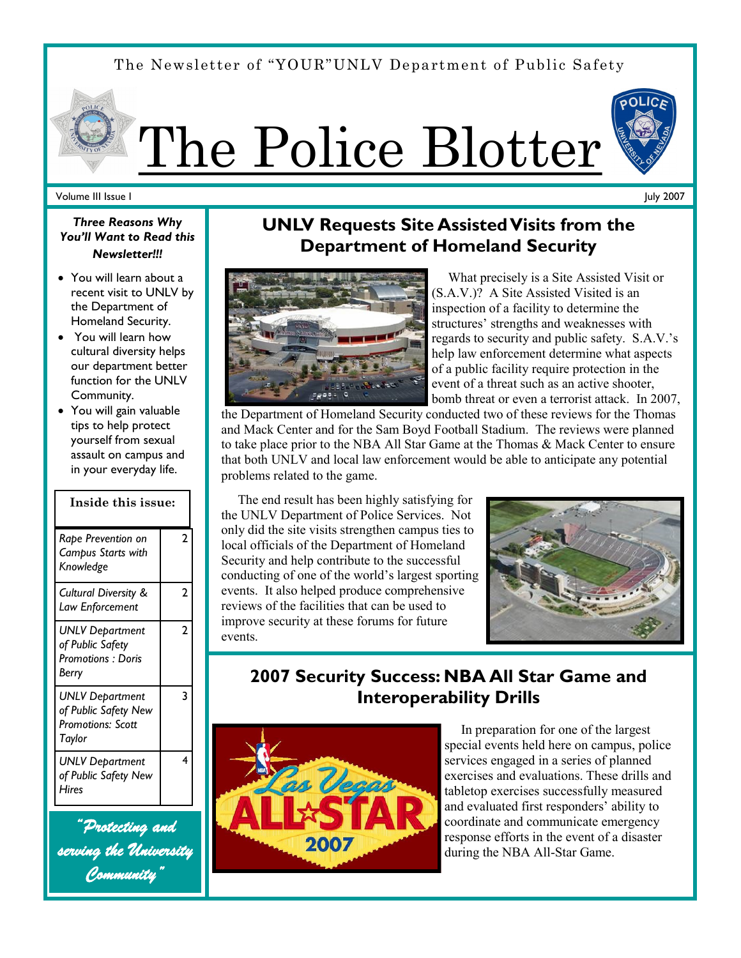## The Newsletter of "YOUR"UNLV Department of Public Safety

# The Police Blotter



#### Volume III Issue I

July 2007

## *Three Reasons Why You'll Want to Read this Newsletter!!!*

- You will learn about a recent visit to UNLV by the Department of Homeland Security.
- You will learn how cultural diversity helps our department better function for the UNLV Community.
- You will gain valuable tips to help protect yourself from sexual assault on campus and in your everyday life.

| Inside this issue:                                                            |   |
|-------------------------------------------------------------------------------|---|
| Rape Prevention on<br>Campus Starts with<br>Knowledge                         | 2 |
| Cultural Diversity &<br>Law Enforcement                                       | 2 |
| UNLV Department<br>of Public Safety<br><b>Promotions: Doris</b><br>Berry      | 2 |
| UNLV Department<br>of Public Safety New<br><b>Promotions: Scott</b><br>Taylor | 3 |
| <b>UNLV Department</b><br>of Public Safety New<br>Hires                       | 4 |

*"Protecting and serving the University Community"* 

## **UNLV Requests Site Assisted Visits from the Department of Homeland Security**



 What precisely is a Site Assisted Visit or (S.A.V.)? A Site Assisted Visited is an inspection of a facility to determine the structures' strengths and weaknesses with regards to security and public safety. S.A.V.'s help law enforcement determine what aspects of a public facility require protection in the event of a threat such as an active shooter, bomb threat or even a terrorist attack. In 2007,

the Department of Homeland Security conducted two of these reviews for the Thomas and Mack Center and for the Sam Boyd Football Stadium. The reviews were planned to take place prior to the NBA All Star Game at the Thomas & Mack Center to ensure that both UNLV and local law enforcement would be able to anticipate any potential problems related to the game.

 The end result has been highly satisfying for the UNLV Department of Police Services. Not only did the site visits strengthen campus ties to local officials of the Department of Homeland Security and help contribute to the successful conducting of one of the world's largest sporting events. It also helped produce comprehensive reviews of the facilities that can be used to improve security at these forums for future events.



## **2007 Security Success: NBA All Star Game and Interoperability Drills**



 In preparation for one of the largest special events held here on campus, police services engaged in a series of planned exercises and evaluations. These drills and tabletop exercises successfully measured and evaluated first responders' ability to coordinate and communicate emergency response efforts in the event of a disaster during the NBA All-Star Game.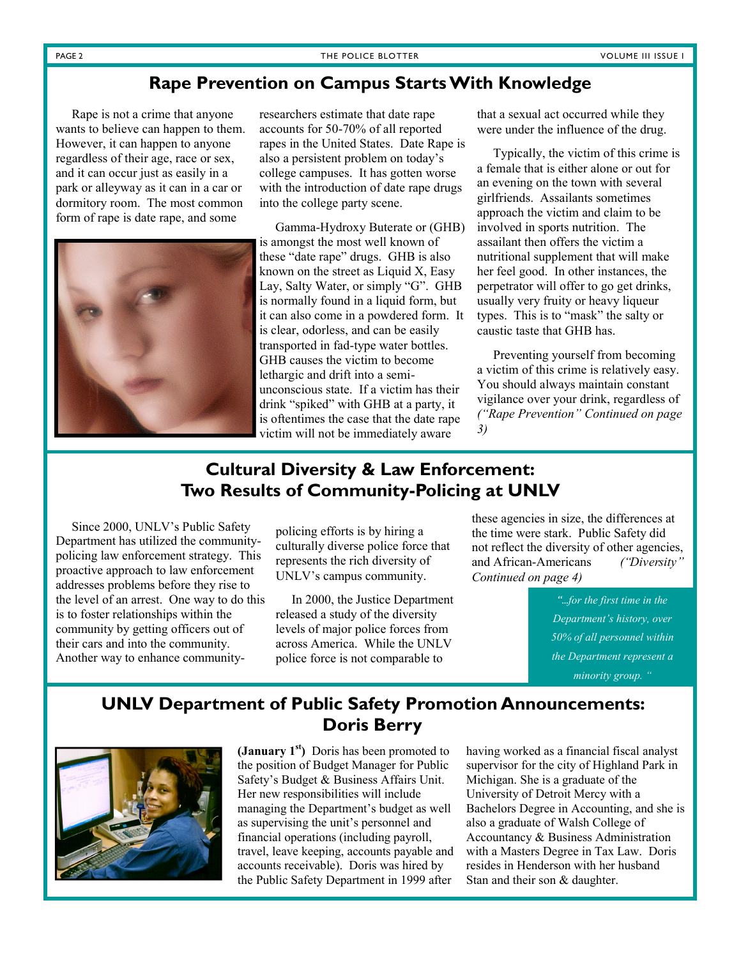## **Rape Prevention on Campus Starts With Knowledge**

 Rape is not a crime that anyone wants to believe can happen to them. However, it can happen to anyone regardless of their age, race or sex, and it can occur just as easily in a park or alleyway as it can in a car or dormitory room. The most common form of rape is date rape, and some



researchers estimate that date rape accounts for 50-70% of all reported rapes in the United States. Date Rape is also a persistent problem on today's college campuses. It has gotten worse with the introduction of date rape drugs into the college party scene.

 Gamma-Hydroxy Buterate or (GHB) is amongst the most well known of these "date rape" drugs. GHB is also known on the street as Liquid X, Easy Lay, Salty Water, or simply "G". GHB is normally found in a liquid form, but it can also come in a powdered form. It is clear, odorless, and can be easily transported in fad-type water bottles. GHB causes the victim to become lethargic and drift into a semiunconscious state. If a victim has their drink "spiked" with GHB at a party, it is oftentimes the case that the date rape victim will not be immediately aware

that a sexual act occurred while they were under the influence of the drug.

 Typically, the victim of this crime is a female that is either alone or out for an evening on the town with several girlfriends. Assailants sometimes approach the victim and claim to be involved in sports nutrition. The assailant then offers the victim a nutritional supplement that will make her feel good. In other instances, the perpetrator will offer to go get drinks, usually very fruity or heavy liqueur types. This is to "mask" the salty or caustic taste that GHB has.

 Preventing yourself from becoming a victim of this crime is relatively easy. You should always maintain constant vigilance over your drink, regardless of *("Rape Prevention" Continued on page 3)*

## **Cultural Diversity & Law Enforcement: Two Results of Community-Policing at UNLV**

 Since 2000, UNLV's Public Safety Department has utilized the communitypolicing law enforcement strategy. This proactive approach to law enforcement addresses problems before they rise to the level of an arrest. One way to do this is to foster relationships within the community by getting officers out of their cars and into the community. Another way to enhance community-

policing efforts is by hiring a culturally diverse police force that represents the rich diversity of UNLV's campus community.

 In 2000, the Justice Department released a study of the diversity levels of major police forces from across America. While the UNLV police force is not comparable to

these agencies in size, the differences at the time were stark. Public Safety did not reflect the diversity of other agencies, and African-Americans *("Diversity" Continued on page 4)* 

> *"...for the first time in the Department's history, over 50% of all personnel within the Department represent a minority group. "*

## **UNLV Department of Public Safety Promotion Announcements: Doris Berry**



**(January 1st)** Doris has been promoted to the position of Budget Manager for Public Safety's Budget & Business Affairs Unit. Her new responsibilities will include managing the Department's budget as well as supervising the unit's personnel and financial operations (including payroll, travel, leave keeping, accounts payable and accounts receivable). Doris was hired by the Public Safety Department in 1999 after

having worked as a financial fiscal analyst supervisor for the city of Highland Park in Michigan. She is a graduate of the University of Detroit Mercy with a Bachelors Degree in Accounting, and she is also a graduate of Walsh College of Accountancy & Business Administration with a Masters Degree in Tax Law. Doris resides in Henderson with her husband Stan and their son & daughter.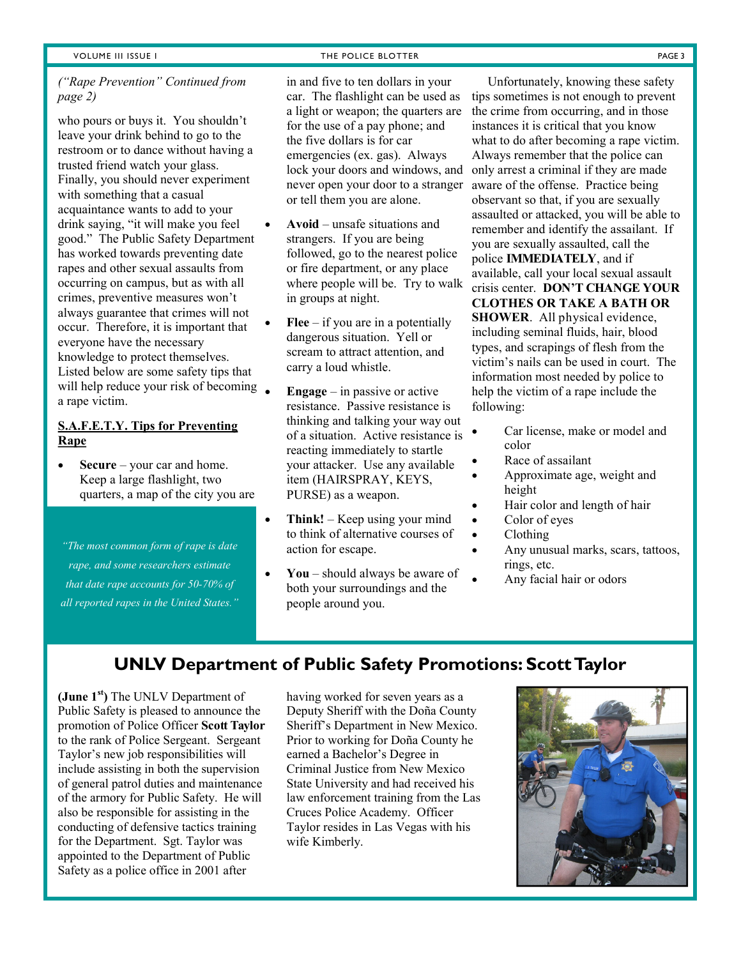## *("Rape Prevention" Continued from page 2)*

who pours or buys it. You shouldn't leave your drink behind to go to the restroom or to dance without having a trusted friend watch your glass. Finally, you should never experiment with something that a casual acquaintance wants to add to your drink saying, "it will make you feel good." The Public Safety Department has worked towards preventing date rapes and other sexual assaults from occurring on campus, but as with all crimes, preventive measures won't always guarantee that crimes will not occur. Therefore, it is important that everyone have the necessary knowledge to protect themselves. Listed below are some safety tips that will help reduce your risk of becoming  $\bullet$ a rape victim.

## **S.A.F.E.T.Y. Tips for Preventing Rape**

 **Secure** – your car and home. Keep a large flashlight, two quarters, a map of the city you are

*"The most common form of rape is date rape, and some researchers estimate that date rape accounts for 50-70% of all reported rapes in the United States."*

#### VOLUME III ISSUE I THE POLICE BLOTTER THE POLICE BLOTTER AND THE POLICE BLOTTER THE PAGE 3

in and five to ten dollars in your car. The flashlight can be used as a light or weapon; the quarters are for the use of a pay phone; and the five dollars is for car emergencies (ex. gas). Always lock your doors and windows, and never open your door to a stranger or tell them you are alone.

- **Avoid** unsafe situations and strangers. If you are being followed, go to the nearest police or fire department, or any place where people will be. Try to walk in groups at night.
- **Flee** if you are in a potentially dangerous situation. Yell or scream to attract attention, and carry a loud whistle.
	- **Engage** in passive or active resistance. Passive resistance is thinking and talking your way out of a situation. Active resistance is reacting immediately to startle your attacker. Use any available item (HAIRSPRAY, KEYS, PURSE) as a weapon.
- Think! Keep using your mind to think of alternative courses of action for escape.
- **You** should always be aware of both your surroundings and the people around you.

 Unfortunately, knowing these safety tips sometimes is not enough to prevent the crime from occurring, and in those instances it is critical that you know what to do after becoming a rape victim. Always remember that the police can only arrest a criminal if they are made aware of the offense. Practice being observant so that, if you are sexually assaulted or attacked, you will be able to remember and identify the assailant. If you are sexually assaulted, call the police **IMMEDIATELY**, and if available, call your local sexual assault crisis center. **DON'T CHANGE YOUR CLOTHES OR TAKE A BATH OR SHOWER**. All physical evidence, including seminal fluids, hair, blood types, and scrapings of flesh from the victim's nails can be used in court. The information most needed by police to help the victim of a rape include the following:

- Car license, make or model and color
- Race of assailant
- Approximate age, weight and height
- Hair color and length of hair
- Color of eyes
- Clothing
- Any unusual marks, scars, tattoos, rings, etc.
- Any facial hair or odors

## **UNLV Department of Public Safety Promotions: Scott Taylor**

**(June 1st)** The UNLV Department of Public Safety is pleased to announce the promotion of Police Officer **Scott Taylor** to the rank of Police Sergeant. Sergeant Taylor's new job responsibilities will include assisting in both the supervision of general patrol duties and maintenance of the armory for Public Safety. He will also be responsible for assisting in the conducting of defensive tactics training for the Department. Sgt. Taylor was appointed to the Department of Public Safety as a police office in 2001 after

having worked for seven years as a Deputy Sheriff with the Doña County Sheriff's Department in New Mexico. Prior to working for Doña County he earned a Bachelor's Degree in Criminal Justice from New Mexico State University and had received his law enforcement training from the Las Cruces Police Academy. Officer Taylor resides in Las Vegas with his wife Kimberly.